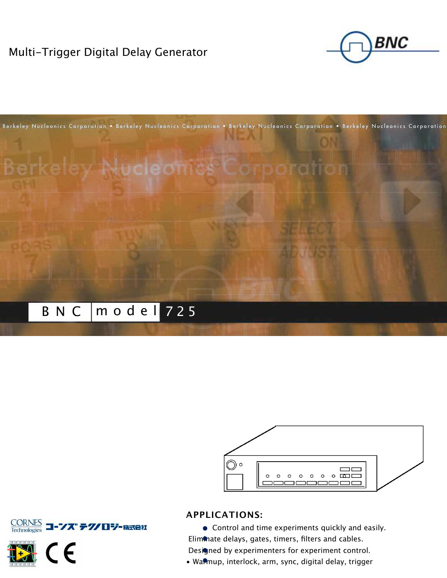# Multi-Trigger Digital Delay Generator









Control and time experiments quickly and easily. Elimmate delays, gates, timers, filters and cables.

Designed by experimenters for experiment control.

• Wannup, interlock, arm, sync, digital delay, trigger



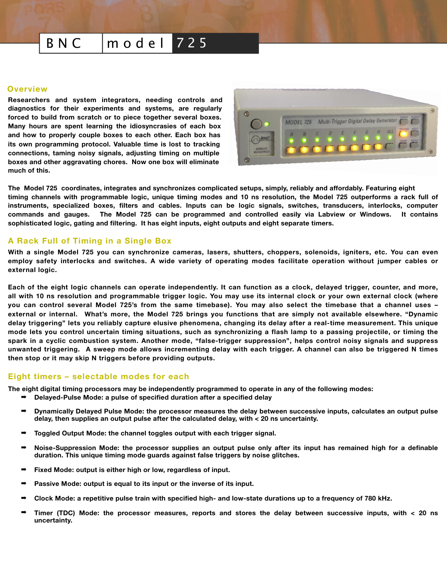# B N C  $\mid$  m o d e l  $\mid$  7 2 5

#### **Overview**

**Researchers and system integrators, needing controls and diagnostics for their experiments and systems, are regularly forced to build from scratch or to piece together several boxes. Many hours are spent learning the idiosyncrasies of each box and how to properly couple boxes to each other. Each box has its own programming protocol. Valuable time is lost to tracking connections, taming noisy signals, adjusting timing on multiple boxes and other aggravating chores. Now one box will eliminate much of this.** 



**The Model 725 coordinates, integrates and synchronizes complicated setups, simply, reliably and affordably. Featuring eight timing channels with programmable logic, unique timing modes and 10 ns resolution, the Model 725 outperforms a rack full of instruments, specialized boxes, filters and cables. Inputs can be logic signals, switches, transducers, interlocks, computer commands and gauges. The Model 725 can be programmed and controlled easily via Labview or Windows. It contains sophisticated logic, gating and filtering. It has eight inputs, eight outputs and eight separate timers.** 

### **A Rack Full of Timing in a Single Box**

**With a single Model 725 you can synchronize cameras, lasers, shutters, choppers, solenoids, igniters, etc. You can even employ safety interlocks and switches. A wide variety of operating modes facilitate operation without jumper cables or external logic.**

**Each of the eight logic channels can operate independently. It can function as a clock, delayed trigger, counter, and more, all with 10 ns resolution and programmable trigger logic. You may use its internal clock or your own external clock (where you can control several Model 725's from the same timebase). You may also select the timebase that a channel uses – external or internal. What's more, the Model 725 brings you functions that are simply not available elsewhere. "Dynamic delay triggering" lets you reliably capture elusive phenomena, changing its delay after a real-time measurement. This unique mode lets you control uncertain timing situations, such as synchronizing a flash lamp to a passing projectile, or timing the spark in a cyclic combustion system. Another mode, "false-trigger suppression", helps control noisy signals and suppress unwanted triggering. A sweep mode allows incrementing delay with each trigger. A channel can also be triggered N times then stop or it may skip N triggers before providing outputs.**

#### **Eight timers – selectable modes for each**

**The eight digital timing processors may be independently programmed to operate in any of the following modes:**

- ➡ **Delayed-Pulse Mode: a pulse of specified duration after a specified delay**
- ➡ **Dynamically Delayed Pulse Mode: the processor measures the delay between successive inputs, calculates an output pulse delay, then supplies an output pulse after the calculated delay, with < 20 ns uncertainty.**
- ➡ **Toggled Output Mode: the channel toggles output with each trigger signal.**
- ➡ **Noise-Suppression Mode: the processor supplies an output pulse only after its input has remained high for a definable duration. This unique timing mode guards against false triggers by noise glitches.**
- ➡ **Fixed Mode: output is either high or low, regardless of input.**
- ➡ **Passive Mode: output is equal to its input or the inverse of its input.**
- ➡ **Clock Mode: a repetitive pulse train with specified high- and low-state durations up to a frequency of 780 kHz.**
- ➡ **Timer (TDC) Mode: the processor measures, reports and stores the delay between successive inputs, with < 20 ns uncertainty.**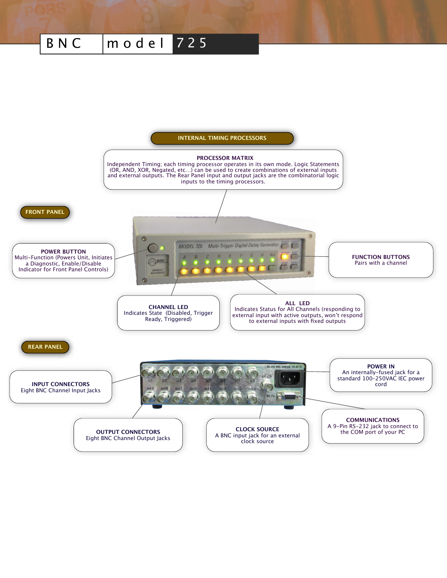# B N C  $\mid$  m o d e l  $\mid$  7 2 5

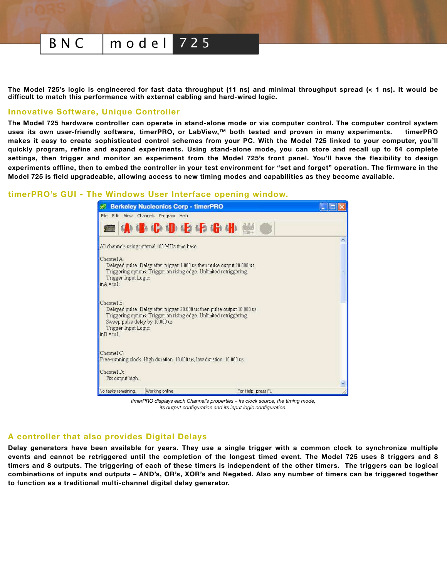# B N C mod e l 725

**The Model 725's logic is engineered for fast data throughput (11 ns) and minimal throughput spread (< 1 ns). It would be difficult to match this performance with external cabling and hard-wired logic.**

#### **Innovative Software, Unique Controller**

**The Model 725 hardware controller can operate in stand-alone mode or via computer control. The computer control system uses its own user-friendly software, timerPRO, or LabView,™ both tested and proven in many experiments. timerPRO makes it easy to create sophisticated control schemes from your PC. With the Model 725 linked to your computer, you'll quickly program, refine and expand experiments. Using stand-alone mode, you can store and recall up to 64 complete settings, then trigger and monitor an experiment from the Model 725's front panel. You'll have the flexibility to design experiments offline, then to embed the controller in your test environment for "set and forget" operation. The firmware in the Model 725 is field upgradeable, allowing access to new timing modes and capabilities as they become available.** 

#### **timerPRO's GUI - The Windows User Interface opening window.**

| <b>Berkeley Nucleonics Corp - timerPRO</b><br>$\mathcal{A}^{\mathcal{O},\mathcal{O}}$                                                                                                                                                                         |                    |  |
|---------------------------------------------------------------------------------------------------------------------------------------------------------------------------------------------------------------------------------------------------------------|--------------------|--|
| File Edit View Channels Program Help                                                                                                                                                                                                                          |                    |  |
| <b>ABCDGGGdB</b>                                                                                                                                                                                                                                              |                    |  |
| All channels using internal 100 MHz time base.                                                                                                                                                                                                                |                    |  |
| Channel A:<br>Delayed pulse: Delay after trigger 1.000 us then pulse output 10.000 us.<br>Triggering options: Trigger on rising edge. Unlimited retriggering.<br>Trigger Input Logic:<br>$inA = in1$ :                                                        |                    |  |
| Channel B:<br>Delayed pulse: Delay after trigger 20,000 us then pulse output 10,000 us.<br>Triggering options: Trigger on rising edge. Unlimited retriggering.<br>Sweep pulse delay by 10,000 us<br>Trigger Input Logic:<br>$\overline{m}B = \overline{m}1$ : |                    |  |
| Channel C:<br>Free-running clock: High duration: 10,000 us; low duration: 10,000 us.                                                                                                                                                                          |                    |  |
| Channel D:<br>Fix output high.                                                                                                                                                                                                                                |                    |  |
| Working online<br>No tasks remaining.                                                                                                                                                                                                                         | For Help, press F1 |  |

*timerPRO displays each Channel's properties – its clock source, the timing mode, its output configuration and its input logic configuration.*

## **A controller that also provides Digital Delays**

**Delay generators have been available for years. They use a single trigger with a common clock to synchronize multiple events and cannot be retriggered until the completion of the longest timed event. The Model 725 uses 8 triggers and 8 timers and 8 outputs. The triggering of each of these timers is independent of the other timers. The triggers can be logical combinations of inputs and outputs – AND's, OR's, XOR's and Negated. Also any number of timers can be triggered together to function as a traditional multi-channel digital delay generator.**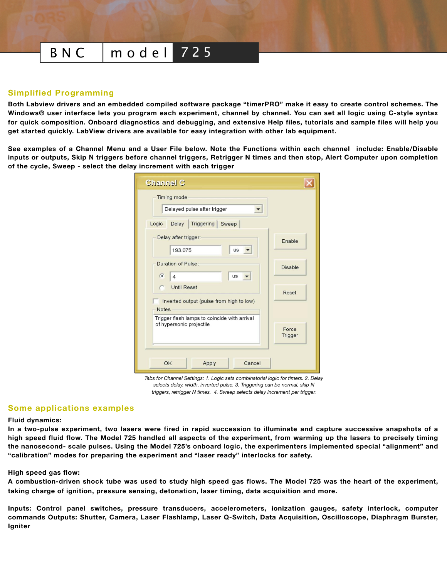# B N C mod e l 725

#### **Simplified Programming**

**Both Labview drivers and an embedded compiled software package "timerPRO" make it easy to create control schemes. The Windows® user interface lets you program each experiment, channel by channel. You can set all logic using C-style syntax for quick composition. Onboard diagnostics and debugging, and extensive Help files, tutorials and sample files will help you get started quickly. LabView drivers are available for easy integration with other lab equipment.** 

**See examples of a Channel Menu and a User File below. Note the Functions within each channel include: Enable/Disable inputs or outputs, Skip N triggers before channel triggers, Retrigger N times and then stop, Alert Computer upon completion of the cycle, Sweep - select the delay increment with each trigger**

| <b>Channel C</b>                                                                             |                |  |  |  |
|----------------------------------------------------------------------------------------------|----------------|--|--|--|
| <b>Timing mode</b><br>Delayed pulse after trigger                                            |                |  |  |  |
| Triggering Sweep<br>Logic<br>Delay                                                           |                |  |  |  |
| Delay after trigger:<br>193.075<br><b>us</b>                                                 | Enable         |  |  |  |
| Duration of Pulse:<br>$\sqrt{6}$<br>us<br>$\overline{4}$                                     | <b>Disable</b> |  |  |  |
| <b>Until Reset</b><br>Reset<br>Inverted output (pulse from high to low)                      |                |  |  |  |
| <b>Notes</b>                                                                                 |                |  |  |  |
| Trigger flash lamps to coincide with arrival<br>of hypersonic projectile<br>Force<br>Trigger |                |  |  |  |
| OK<br>Apply<br>Cancel                                                                        |                |  |  |  |

*Tabs for Channel Settings: 1. Logic sets combinatorial logic for timers. 2. Delay selects delay, width, inverted pulse. 3. Triggering can be normal, skip N triggers, retrigger N times. 4. Sweep selects delay increment per trigger.* 

#### **Some applications examples**

#### **Fluid dynamics:**

**In a two-pulse experiment, two lasers were fired in rapid succession to illuminate and capture successive snapshots of a high speed fluid flow. The Model 725 handled all aspects of the experiment, from warming up the lasers to precisely timing the nanosecond- scale pulses. Using the Model 725's onboard logic, the experimenters implemented special "alignment" and "calibration" modes for preparing the experiment and "laser ready" interlocks for safety.**

#### **High speed gas flow:**

**A combustion-driven shock tube was used to study high speed gas flows. The Model 725 was the heart of the experiment, taking charge of ignition, pressure sensing, detonation, laser timing, data acquisition and more.**

**Inputs: Control panel switches, pressure transducers, accelerometers, ionization gauges, safety interlock, computer commands Outputs: Shutter, Camera, Laser Flashlamp, Laser Q-Switch, Data Acquisition, Oscilloscope, Diaphragm Burster, Igniter**